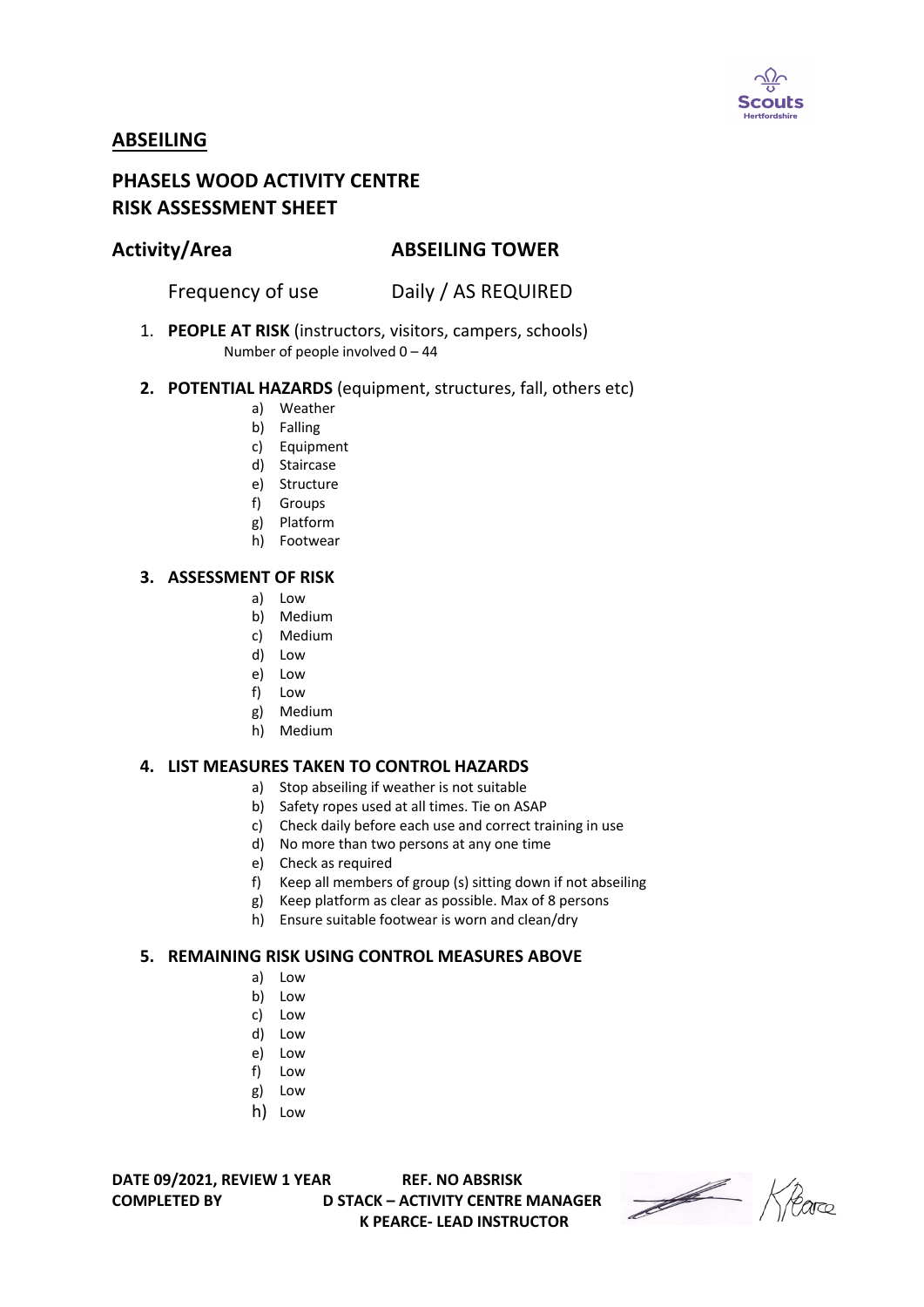

# **ABSEILING**

# **PHASELS WOOD ACTIVITY CENTRE RISK ASSESSMENT SHEET**

## **Activity/Area ABSEILING TOWER**

Frequency of use Daily / AS REQUIRED

1. **PEOPLE AT RISK** (instructors, visitors, campers, schools) Number of people involved 0 – 44

#### **2. POTENTIAL HAZARDS** (equipment, structures, fall, others etc)

- a) Weather
- b) Falling
- c) Equipment
- d) Staircase
- e) Structure
- f) Groups
- g) Platform
- h) Footwear

#### **3. ASSESSMENT OF RISK**

- a) Low
- b) Medium
- c) Medium
- d) Low
- e) Low
- f) Low
- g) Medium
- h) Medium

### **4. LIST MEASURES TAKEN TO CONTROL HAZARDS**

- a) Stop abseiling if weather is not suitable
- b) Safety ropes used at all times. Tie on ASAP
- c) Check daily before each use and correct training in use
- d) No more than two persons at any one time
- e) Check as required
- f) Keep all members of group (s) sitting down if not abseiling
- g) Keep platform as clear as possible. Max of 8 persons
- h) Ensure suitable footwear is worn and clean/dry

### **5. REMAINING RISK USING CONTROL MEASURES ABOVE**

- a) Low
- b) Low
- c) Low
- d) Low
- e) Low
- f) Low
- g) Low
- h) Low

**DATE 09/2021, REVIEW 1 YEAR REF. NO ABSRISK**

**COMPLETED BY D STACK – ACTIVITY CENTRE MANAGER K PEARCE- LEAD INSTRUCTOR** 

Heare